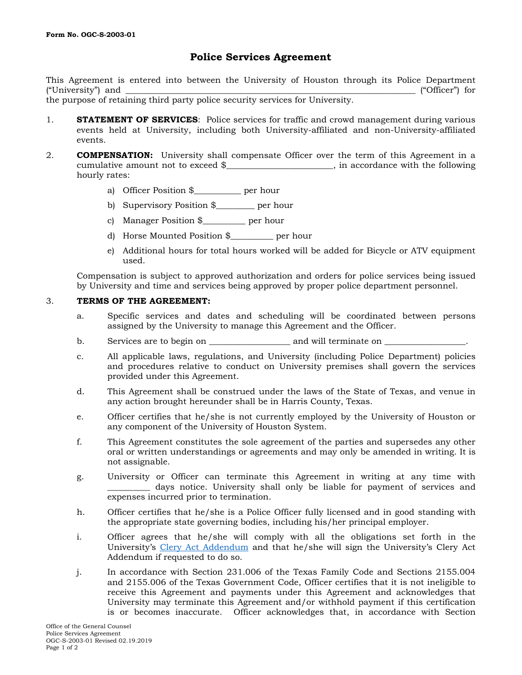## **Police Services Agreement**

This Agreement is entered into between the University of Houston through its Police Department ("University") and  $\Box$  ["Officer") for

the purpose of retaining third party police security services for University.

- 1. **STATEMENT OF SERVICES**: Police services for traffic and crowd management during various events held at University, including both University-affiliated and non-University-affiliated events.
- 2. **COMPENSATION:** University shall compensate Officer over the term of this Agreement in a cumulative amount not to exceed \$  $\ldots$ , in accordance with the following hourly rates:
	- a) Officer Position \$\_\_\_\_\_\_\_\_\_\_\_ per hour
	- b) Supervisory Position \$\_\_\_\_\_\_\_\_\_ per hour
	- c) Manager Position \$\_\_\_\_\_\_\_\_\_\_ per hour
	- d) Horse Mounted Position \$\_\_\_\_\_\_\_\_\_\_ per hour
	- e) Additional hours for total hours worked will be added for Bicycle or ATV equipment used.

Compensation is subject to approved authorization and orders for police services being issued by University and time and services being approved by proper police department personnel.

## 3. **TERMS OF THE AGREEMENT:**

- a. Specific services and dates and scheduling will be coordinated between persons assigned by the University to manage this Agreement and the Officer.
- b. Services are to begin on services are to begin on service on  $\Box$
- c. All applicable laws, regulations, and University (including Police Department) policies and procedures relative to conduct on University premises shall govern the services provided under this Agreement.
- d. This Agreement shall be construed under the laws of the State of Texas, and venue in any action brought hereunder shall be in Harris County, Texas.
- e. Officer certifies that he/she is not currently employed by the University of Houston or any component of the University of Houston System.
- f. This Agreement constitutes the sole agreement of the parties and supersedes any other oral or written understandings or agreements and may only be amended in writing. It is not assignable.
- g. University or Officer can terminate this Agreement in writing at any time with \_\_\_\_\_\_\_\_\_\_ days notice. University shall only be liable for payment of services and expenses incurred prior to termination.
- h. Officer certifies that he/she is a Police Officer fully licensed and in good standing with the appropriate state governing bodies, including his/her principal employer.
- i. Officer agrees that he/she will comply with all the obligations set forth in the University's [Clery Act Addendum](http://www.uh.edu/legal-affairs/contract-administration/pdf-documents/Clery-Act-Addendum-OGC-S-20186_Created01.30.2018.pdf) and that he/she will sign the University's Clery Act Addendum if requested to do so.
- j. In accordance with Section 231.006 of the Texas Family Code and Sections 2155.004 and 2155.006 of the Texas Government Code, Officer certifies that it is not ineligible to receive this Agreement and payments under this Agreement and acknowledges that University may terminate this Agreement and/or withhold payment if this certification is or becomes inaccurate. Officer acknowledges that, in accordance with Section